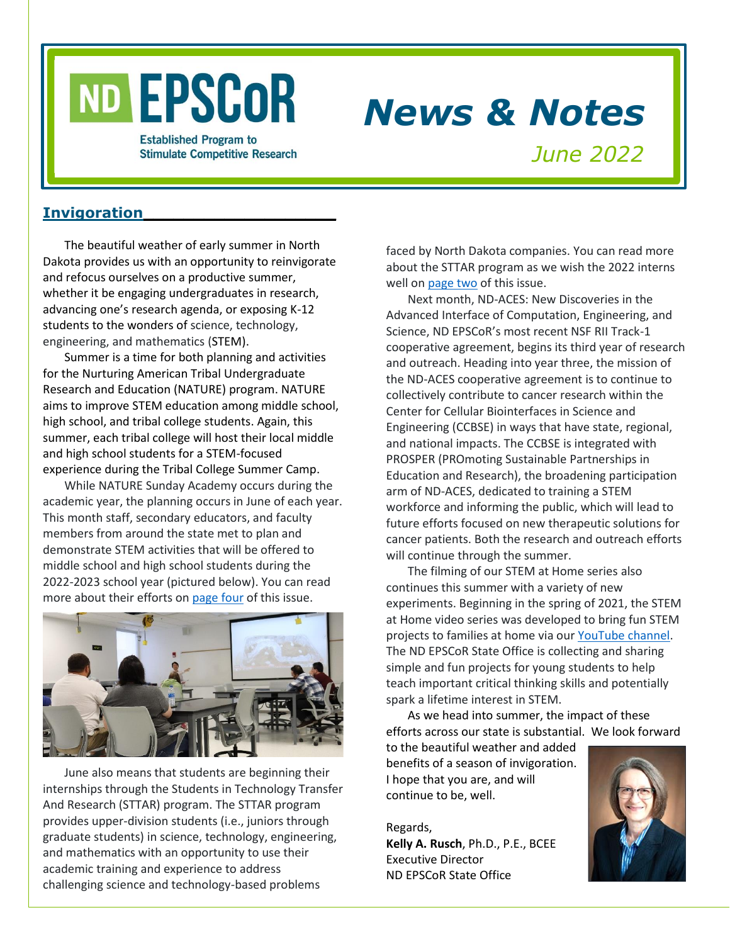# ND EPSCOR

### *News & Notes*

**Established Program to Stimulate Competitive Research** 

*June 2022*

#### **Invigoration\_\_\_\_\_\_\_\_\_\_\_\_\_\_\_\_\_\_\_**

The beautiful weather of early summer in North Dakota provides us with an opportunity to reinvigorate and refocus ourselves on a productive summer, whether it be engaging undergraduates in research, advancing one's research agenda, or exposing K-12 students to the wonders of science, technology, engineering, and mathematics (STEM).

Summer is a time for both planning and activities for the Nurturing American Tribal Undergraduate Research and Education (NATURE) program. NATURE aims to improve STEM education among middle school, high school, and tribal college students. Again, this summer, each tribal college will host their local middle and high school students for a STEM-focused experience during the Tribal College Summer Camp.

While NATURE Sunday Academy occurs during the academic year, the planning occurs in June of each year. This month staff, secondary educators, and faculty members from around the state met to plan and demonstrate STEM activities that will be offered to middle school and high school students during the 2022-2023 school year (pictured below). You can read more about their efforts on [page four](#page-3-0) of this issue.



June also means that students are beginning their internships through the Students in Technology Transfer And Research (STTAR) program. The STTAR program provides upper-division students (i.e., juniors through graduate students) in science, technology, engineering, and mathematics with an opportunity to use their academic training and experience to address challenging science and technology-based problems

faced by North Dakota companies. You can read more about the STTAR program as we wish the 2022 interns well on [page two](#page-1-0) of this issue.

Next month, ND-ACES: New Discoveries in the Advanced Interface of Computation, Engineering, and Science, ND EPSCoR's most recent NSF RII Track-1 cooperative agreement, begins its third year of research and outreach. Heading into year three, the mission of the ND-ACES cooperative agreement is to continue to collectively contribute to cancer research within the Center for Cellular Biointerfaces in Science and Engineering (CCBSE) in ways that have state, regional, and national impacts. The CCBSE is integrated with PROSPER (PROmoting Sustainable Partnerships in Education and Research), the broadening participation arm of ND-ACES, dedicated to training a STEM workforce and informing the public, which will lead to future efforts focused on new therapeutic solutions for cancer patients. Both the research and outreach efforts will continue through the summer.

The filming of our STEM at Home series also continues this summer with a variety of new experiments. Beginning in the spring of 2021, the STEM at Home video series was developed to bring fun STEM projects to families at home via our [YouTube channel.](https://bit.ly/ndepscorchannel) The ND EPSCoR State Office is collecting and sharing simple and fun projects for young students to help teach important critical thinking skills and potentially spark a lifetime interest in STEM.

As we head into summer, the impact of these efforts across our state is substantial. We look forward

to the beautiful weather and added benefits of a season of invigoration. I hope that you are, and will continue to be, well.

Regards, **Kelly A. Rusch**, Ph.D., P.E., BCEE

Executive Director ND EPSCoR State Office

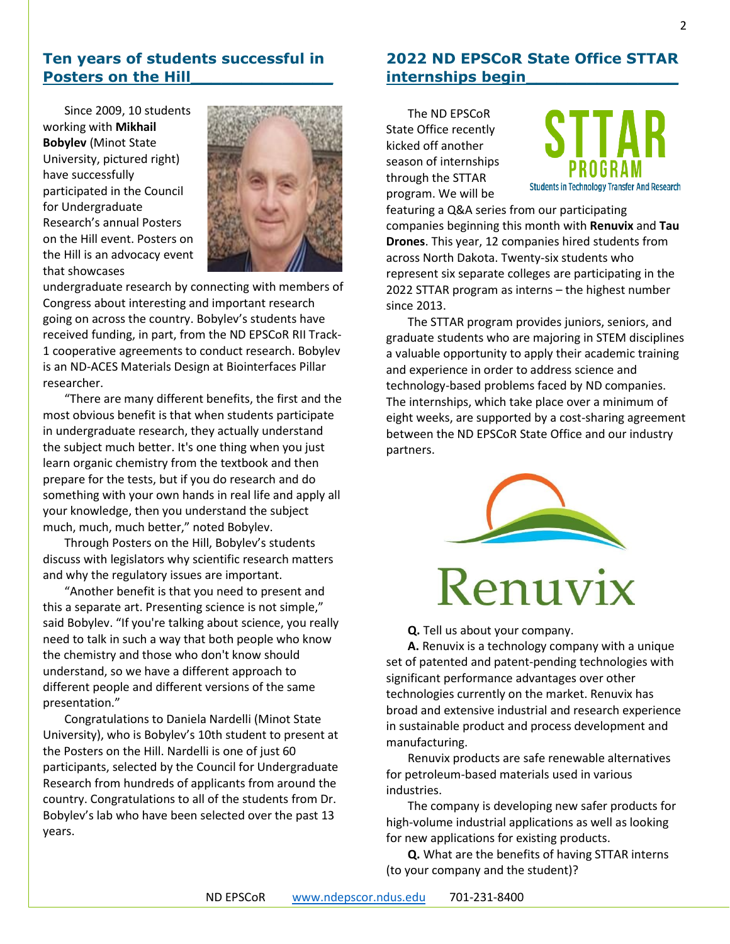#### **Ten years of students successful in Posters on the Hill**

Since 2009, 10 students working with **Mikhail Bobylev** (Minot State University, pictured right) have successfully participated in the Council for Undergraduate Research's annual Posters on the Hill event. Posters on the Hill is an advocacy event that showcases



undergraduate research by connecting with members of Congress about interesting and important research going on across the country. Bobylev's students have received funding, in part, from the ND EPSCoR RII Track-1 cooperative agreements to conduct research. Bobylev is an ND-ACES Materials Design at Biointerfaces Pillar researcher.

"There are many different benefits, the first and the most obvious benefit is that when students participate in undergraduate research, they actually understand the subject much better. It's one thing when you just learn organic chemistry from the textbook and then prepare for the tests, but if you do research and do something with your own hands in real life and apply all your knowledge, then you understand the subject much, much, much better," noted Bobylev.

Through Posters on the Hill, Bobylev's students discuss with legislators why scientific research matters and why the regulatory issues are important.

"Another benefit is that you need to present and this a separate art. Presenting science is not simple," said Bobylev. "If you're talking about science, you really need to talk in such a way that both people who know the chemistry and those who don't know should understand, so we have a different approach to different people and different versions of the same presentation."

Congratulations to Daniela Nardelli (Minot State University), who is Bobylev's 10th student to present at the Posters on the Hill. Nardelli is one of just 60 participants, selected by the Council for Undergraduate Research from hundreds of applicants from around the country. Congratulations to all of the students from Dr. Bobylev's lab who have been selected over the past 13 years.

#### <span id="page-1-0"></span>**2022 ND EPSCoR State Office STTAR internships begin\_\_\_\_\_\_\_\_\_\_\_\_\_\_\_**

The ND EPSCoR State Office recently kicked off another season of internships through the STTAR program. We will be



featuring a Q&A series from our participating companies beginning this month with **Renuvix** and **Tau Drones**. This year, 12 companies hired students from across North Dakota. Twenty-six students who represent six separate colleges are participating in the 2022 STTAR program as interns – the highest number since 2013.

The STTAR program provides juniors, seniors, and graduate students who are majoring in STEM disciplines a valuable opportunity to apply their academic training and experience in order to address science and technology-based problems faced by ND companies. The internships, which take place over a minimum of eight weeks, are supported by a cost-sharing agreement between the ND EPSCoR State Office and our industry partners.



## Renuvix

**Q.** Tell us about your company.

**A.** Renuvix is a technology company with a unique set of patented and patent-pending technologies with significant performance advantages over other technologies currently on the market. Renuvix has broad and extensive industrial and research experience in sustainable product and process development and manufacturing.

Renuvix products are safe renewable alternatives for petroleum-based materials used in various industries.

The company is developing new safer products for high-volume industrial applications as well as looking for new applications for existing products.

**Q.** What are the benefits of having STTAR interns (to your company and the student)?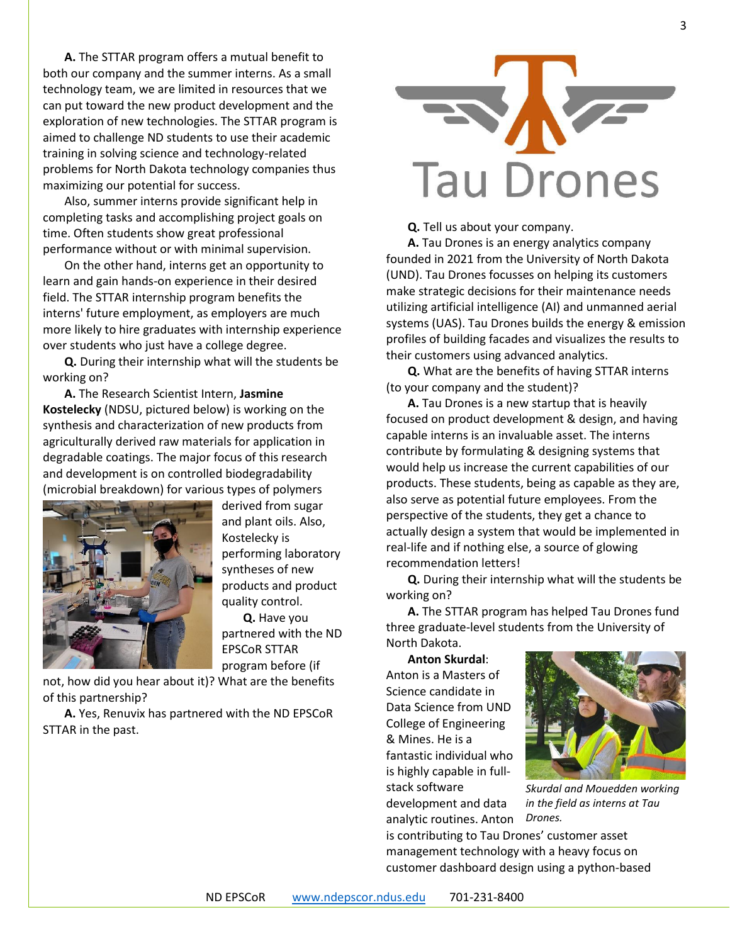**A.** The STTAR program offers a mutual benefit to both our company and the summer interns. As a small technology team, we are limited in resources that we can put toward the new product development and the exploration of new technologies. The STTAR program is aimed to challenge ND students to use their academic training in solving science and technology-related problems for North Dakota technology companies thus maximizing our potential for success.

Also, summer interns provide significant help in completing tasks and accomplishing project goals on time. Often students show great professional performance without or with minimal supervision.

On the other hand, interns get an opportunity to learn and gain hands-on experience in their desired field. The STTAR internship program benefits the interns' future employment, as employers are much more likely to hire graduates with internship experience over students who just have a college degree.

**Q.** During their internship what will the students be working on?

**A.** The Research Scientist Intern, **Jasmine Kostelecky** (NDSU, pictured below) is working on the synthesis and characterization of new products from agriculturally derived raw materials for application in degradable coatings. The major focus of this research and development is on controlled biodegradability (microbial breakdown) for various types of polymers



derived from sugar and plant oils. Also, Kostelecky is performing laboratory syntheses of new products and product quality control.

**Q.** Have you partnered with the ND EPSCoR STTAR program before (if

not, how did you hear about it)? What are the benefits of this partnership?

**A.** Yes, Renuvix has partnered with the ND EPSCoR STTAR in the past.



**Q.** Tell us about your company.

**A.** Tau Drones is an energy analytics company founded in 2021 from the University of North Dakota (UND). Tau Drones focusses on helping its customers make strategic decisions for their maintenance needs utilizing artificial intelligence (AI) and unmanned aerial systems (UAS). Tau Drones builds the energy & emission profiles of building facades and visualizes the results to their customers using advanced analytics.

**Q.** What are the benefits of having STTAR interns (to your company and the student)?

**A.** Tau Drones is a new startup that is heavily focused on product development & design, and having capable interns is an invaluable asset. The interns contribute by formulating & designing systems that would help us increase the current capabilities of our products. These students, being as capable as they are, also serve as potential future employees. From the perspective of the students, they get a chance to actually design a system that would be implemented in real-life and if nothing else, a source of glowing recommendation letters!

**Q.** During their internship what will the students be working on?

**A.** The STTAR program has helped Tau Drones fund three graduate-level students from the University of North Dakota.

**Anton Skurdal**: Anton is a Masters of Science candidate in Data Science from UND College of Engineering & Mines. He is a fantastic individual who is highly capable in fullstack software development and data analytic routines. Anton



*Skurdal and Mouedden working in the field as interns at Tau Drones.*

is contributing to Tau Drones' customer asset management technology with a heavy focus on customer dashboard design using a python-based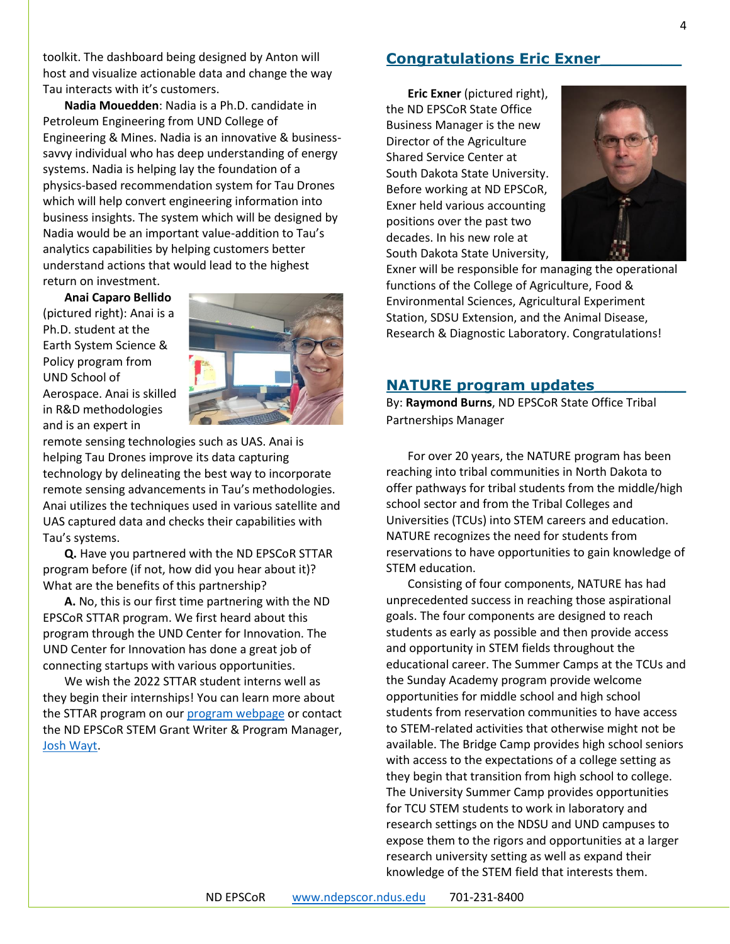toolkit. The dashboard being designed by Anton will host and visualize actionable data and change the way Tau interacts with it's customers.

**Nadia Mouedden**: Nadia is a Ph.D. candidate in Petroleum Engineering from UND College of Engineering & Mines. Nadia is an innovative & businesssavvy individual who has deep understanding of energy systems. Nadia is helping lay the foundation of a physics-based recommendation system for Tau Drones which will help convert engineering information into business insights. The system which will be designed by Nadia would be an important value-addition to Tau's analytics capabilities by helping customers better understand actions that would lead to the highest return on investment.

**Anai Caparo Bellido** (pictured right): Anai is a Ph.D. student at the Earth System Science & Policy program from UND School of Aerospace. Anai is skilled in R&D methodologies and is an expert in



remote sensing technologies such as UAS. Anai is helping Tau Drones improve its data capturing technology by delineating the best way to incorporate remote sensing advancements in Tau's methodologies. Anai utilizes the techniques used in various satellite and UAS captured data and checks their capabilities with Tau's systems.

**Q.** Have you partnered with the ND EPSCoR STTAR program before (if not, how did you hear about it)? What are the benefits of this partnership?

**A.** No, this is our first time partnering with the ND EPSCoR STTAR program. We first heard about this program through the UND Center for Innovation. The UND Center for Innovation has done a great job of connecting startups with various opportunities.

We wish the 2022 STTAR student interns well as they begin their internships! You can learn more about the STTAR program on our [program webpage](https://www.ndepscor.ndus.edu/programs/sttar/) or contact the ND EPSCoR STEM Grant Writer & Program Manager, [Josh Wayt.](mailto:josh.wayt@ndsu.edu)

#### **Congratulations Eric Exner\_\_\_\_\_\_\_\_**

**Eric Exner** (pictured right), the ND EPSCoR State Office Business Manager is the new Director of the Agriculture Shared Service Center at South Dakota State University. Before working at ND EPSCoR, Exner held various accounting positions over the past two decades. In his new role at South Dakota State University,



Exner will be responsible for managing the operational functions of the College of Agriculture, Food & Environmental Sciences, Agricultural Experiment Station, SDSU Extension, and the Animal Disease, Research & Diagnostic Laboratory. Congratulations!

#### <span id="page-3-0"></span>**NATURE program updates\_\_\_\_\_\_\_\_\_**

By: **Raymond Burns**, ND EPSCoR State Office Tribal Partnerships Manager

For over 20 years, the NATURE program has been reaching into tribal communities in North Dakota to offer pathways for tribal students from the middle/high school sector and from the Tribal Colleges and Universities (TCUs) into STEM careers and education. NATURE recognizes the need for students from reservations to have opportunities to gain knowledge of STEM education.

Consisting of four components, NATURE has had unprecedented success in reaching those aspirational goals. The four components are designed to reach students as early as possible and then provide access and opportunity in STEM fields throughout the educational career. The Summer Camps at the TCUs and the Sunday Academy program provide welcome opportunities for middle school and high school students from reservation communities to have access to STEM-related activities that otherwise might not be available. The Bridge Camp provides high school seniors with access to the expectations of a college setting as they begin that transition from high school to college. The University Summer Camp provides opportunities for TCU STEM students to work in laboratory and research settings on the NDSU and UND campuses to expose them to the rigors and opportunities at a larger research university setting as well as expand their knowledge of the STEM field that interests them.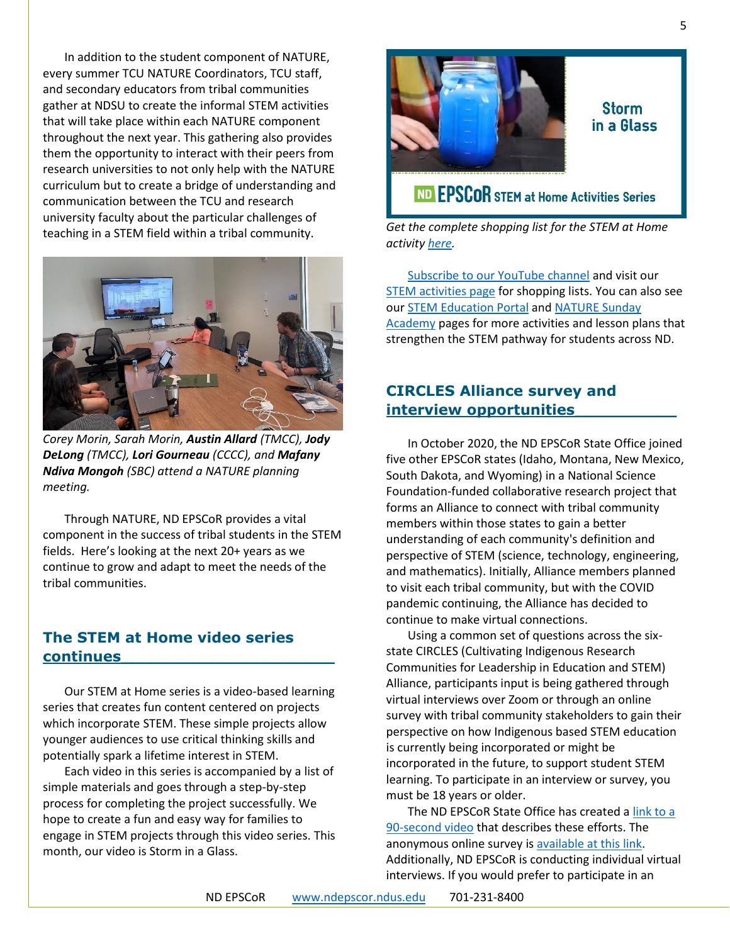In addition to the student component of NATURE, every summer TCU NATURE Coordinators, TCU staff, and secondary educators from tribal communities gather at NDSU to create the informal STEM activities that will take place within each NATURE component throughout the next year. This gathering also provides them the opportunity to interact with their peers from research universities to not only help with the NATURE curriculum but to create a bridge of understanding and communication between the TCU and research university faculty about the particular challenges of teaching in a STEM field within a tribal community.



*Corey Morin, Sarah Morin, Austin Allard (TMCC), Jody DeLong (TMCC), Lori Gourneau (CCCC), and Mafany Ndiva Mongoh (SBC) attend a NATURE planning meeting.*

Through NATURE, ND EPSCoR provides a vital component in the success of tribal students in the STEM fields. Here's looking at the next 20+ years as we continue to grow and adapt to meet the needs of the tribal communities.

#### **The STEM at Home video series continues\_\_\_\_\_\_\_\_\_\_\_\_\_\_\_\_\_\_\_\_\_**

Our STEM at Home series is a video-based learning series that creates fun content centered on projects which incorporate STEM. These simple projects allow younger audiences to use critical thinking skills and potentially spark a lifetime interest in STEM.

Each video in this series is accompanied by a list of simple materials and goes through a step-by-step process for completing the project successfully. We hope to create a fun and easy way for families to engage in STEM projects through this video series. This month, our video is Storm in a Glass.



#### Storm in a Glass

### ND EPSCOR STEM at Home Activities Series

*Get the complete shopping list for the STEM at Home activity [here.](https://bit.ly/3N2o9kW)*

[Subscribe to our YouTube channel](https://bit.ly/ndepscorchannel) and visit our [STEM activities page](https://www.ndepscor.ndus.edu/ndepscorprograms/stem_at_home_activities/) for shopping lists. You can also see our [STEM Education Portal](https://www.ndepscor.ndus.edu/stem_education/stem_education_portal/) and [NATURE Sunday](https://www.ndepscor.ndus.edu/ndep/nature/sunday-academy/)  [Academy](https://www.ndepscor.ndus.edu/ndep/nature/sunday-academy/) pages for more activities and lesson plans that strengthen the STEM pathway for students across ND.

#### **CIRCLES Alliance survey and interview opportunities\_\_\_\_\_\_\_\_\_\_**

In October 2020, the ND EPSCoR State Office joined five other EPSCoR states (Idaho, Montana, New Mexico, South Dakota, and Wyoming) in a National Science Foundation-funded collaborative research project that forms an Alliance to connect with tribal community members within those states to gain a better understanding of each community's definition and perspective of STEM (science, technology, engineering, and mathematics). Initially, Alliance members planned to visit each tribal community, but with the COVID pandemic continuing, the Alliance has decided to continue to make virtual connections.

Using a common set of questions across the sixstate CIRCLES (Cultivating Indigenous Research Communities for Leadership in Education and STEM) Alliance, participants input is being gathered through virtual interviews over Zoom or through an online survey with tribal community stakeholders to gain their perspective on how Indigenous based STEM education is currently being incorporated or might be incorporated in the future, to support student STEM learning. To participate in an interview or survey, you must be 18 years or older.

The ND EPSCoR State Office has created [a link to a](http://bit.ly/circlesalliance)  [90-second video](http://bit.ly/circlesalliance) that describes these efforts. The anonymous online survey is [available at this link.](https://ndstate.co1.qualtrics.com/jfe/form/SV_0vtVlLFJlzwWH2Z) Additionally, ND EPSCoR is conducting individual virtual interviews. If you would prefer to participate in an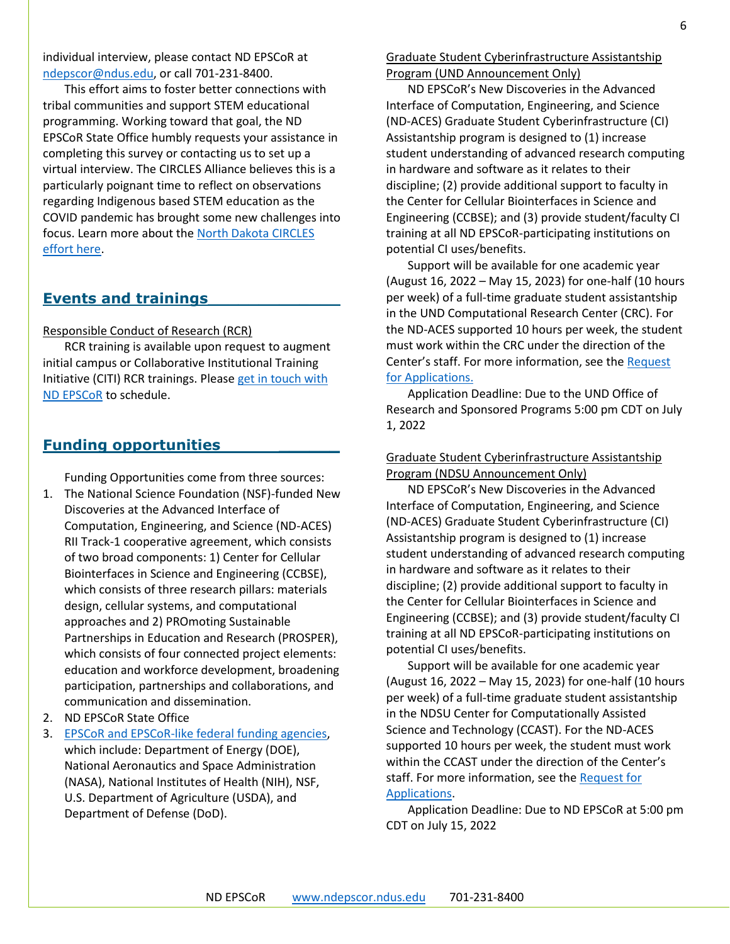individual interview, please contact ND EPSCoR at [ndepscor@ndus.edu,](mailto:ndepscor@ndus.edu) or call 701-231-8400.

This effort aims to foster better connections with tribal communities and support STEM educational programming. Working toward that goal, the ND EPSCoR State Office humbly requests your assistance in completing this survey or contacting us to set up a virtual interview. The CIRCLES Alliance believes this is a particularly poignant time to reflect on observations regarding Indigenous based STEM education as the COVID pandemic has brought some new challenges into focus. Learn more about the [North Dakota CIRCLES](https://www.ndepscor.ndus.edu/ndepscorprograms/circles_alliance_prime_institution_umt_2020_2022/)  [effort here.](https://www.ndepscor.ndus.edu/ndepscorprograms/circles_alliance_prime_institution_umt_2020_2022/)

#### **Events and trainings\_\_\_\_\_\_\_\_\_\_\_\_\_**

#### Responsible Conduct of Research (RCR)

RCR training is available upon request to augment initial campus or Collaborative Institutional Training Initiative (CITI) RCR trainings. Please [get in touch with](mailto:ndepscor@ndus.edu)  [ND EPSCoR](mailto:ndepscor@ndus.edu) to schedule.

#### **Funding opportunities \_\_\_\_\_\_**

Funding Opportunities come from three sources:

- 1. The National Science Foundation (NSF)-funded New Discoveries at the Advanced Interface of Computation, Engineering, and Science (ND-ACES) RII Track-1 cooperative agreement, which consists of two broad components: 1) Center for Cellular Biointerfaces in Science and Engineering (CCBSE), which consists of three research pillars: materials design, cellular systems, and computational approaches and 2) PROmoting Sustainable Partnerships in Education and Research (PROSPER), which consists of four connected project elements: education and workforce development, broadening participation, partnerships and collaborations, and communication and dissemination.
- 2. ND EPSCoR State Office
- 3. [EPSCoR and EPSCoR-like federal funding agencies,](https://www.nsf.gov/od/oia/programs/epscor/nsf_oiia_epscor_epscor_eicc.jsp) which include: Department of Energy (DOE), National Aeronautics and Space Administration (NASA), National Institutes of Health (NIH), NSF, U.S. Department of Agriculture (USDA), and Department of Defense (DoD).

Graduate Student Cyberinfrastructure Assistantship Program (UND Announcement Only)

ND EPSCoR's New Discoveries in the Advanced Interface of Computation, Engineering, and Science (ND-ACES) Graduate Student Cyberinfrastructure (CI) Assistantship program is designed to (1) increase student understanding of advanced research computing in hardware and software as it relates to their discipline; (2) provide additional support to faculty in the Center for Cellular Biointerfaces in Science and Engineering (CCBSE); and (3) provide student/faculty CI training at all ND EPSCoR-participating institutions on potential CI uses/benefits.

Support will be available for one academic year (August 16, 2022 – May 15, 2023) for one-half (10 hours per week) of a full-time graduate student assistantship in the UND Computational Research Center (CRC). For the ND-ACES supported 10 hours per week, the student must work within the CRC under the direction of the Center's staff. For more information, see the [Request](https://www.ndepscor.ndus.edu/fileadmin/ndus/ndepscor/CI/2022UNDCIRFA.pdf)  [for Applications.](https://www.ndepscor.ndus.edu/fileadmin/ndus/ndepscor/CI/2022UNDCIRFA.pdf)

Application Deadline: Due to the UND Office of Research and Sponsored Programs 5:00 pm CDT on July 1, 2022

#### Graduate Student Cyberinfrastructure Assistantship Program (NDSU Announcement Only)

ND EPSCoR's New Discoveries in the Advanced Interface of Computation, Engineering, and Science (ND-ACES) Graduate Student Cyberinfrastructure (CI) Assistantship program is designed to (1) increase student understanding of advanced research computing in hardware and software as it relates to their discipline; (2) provide additional support to faculty in the Center for Cellular Biointerfaces in Science and Engineering (CCBSE); and (3) provide student/faculty CI training at all ND EPSCoR-participating institutions on potential CI uses/benefits.

Support will be available for one academic year (August 16, 2022 – May 15, 2023) for one-half (10 hours per week) of a full-time graduate student assistantship in the NDSU Center for Computationally Assisted Science and Technology (CCAST). For the ND-ACES supported 10 hours per week, the student must work within the CCAST under the direction of the Center's staff. For more information, see the Request for [Applications.](https://www.ndepscor.ndus.edu/fileadmin/ndus/ndepscor/CI/2022NDSUCIRFA.pdf)

Application Deadline: Due to ND EPSCoR at 5:00 pm CDT on July 15, 2022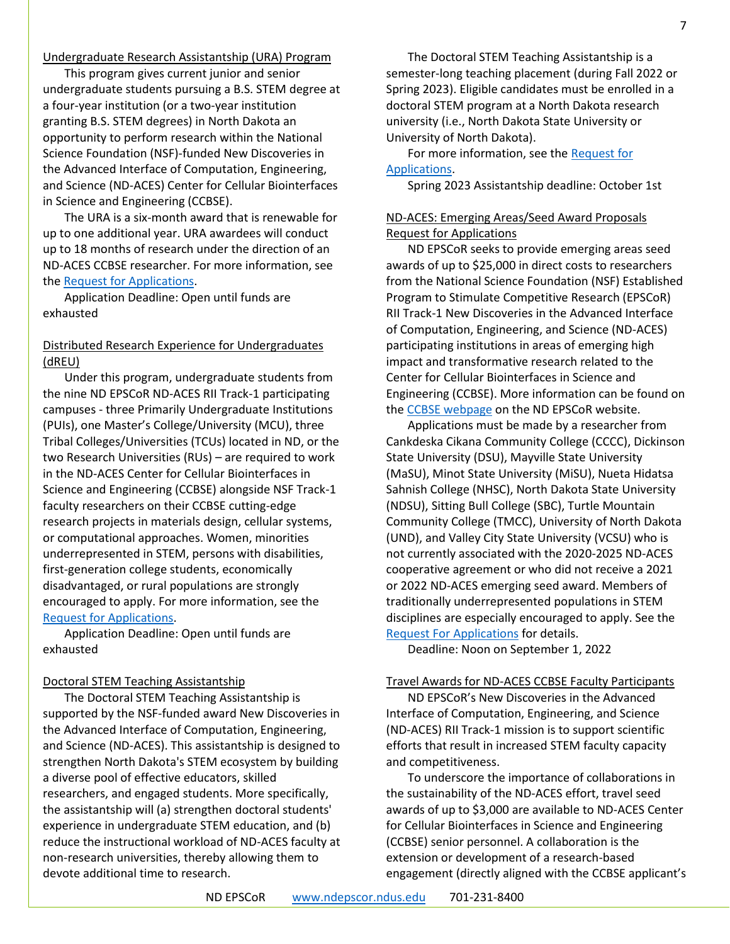#### Undergraduate Research Assistantship (URA) Program

This program gives current junior and senior undergraduate students pursuing a B.S. STEM degree at a four-year institution (or a two-year institution granting B.S. STEM degrees) in North Dakota an opportunity to perform research within the National Science Foundation (NSF)-funded New Discoveries in the Advanced Interface of Computation, Engineering, and Science (ND-ACES) Center for Cellular Biointerfaces in Science and Engineering (CCBSE).

The URA is a six-month award that is renewable for up to one additional year. URA awardees will conduct up to 18 months of research under the direction of an ND-ACES CCBSE researcher. For more information, see the [Request for Applications.](https://www.ndepscor.ndus.edu/fileadmin/ndus/ndepscor/Undergraduate_Research_Assistantship/April_2022_repost_URA_RFA.pdf)

Application Deadline: Open until funds are exhausted

#### Distributed Research Experience for Undergraduates (dREU)

Under this program, undergraduate students from the nine ND EPSCoR ND-ACES RII Track-1 participating campuses - three Primarily Undergraduate Institutions (PUIs), one Master's College/University (MCU), three Tribal Colleges/Universities (TCUs) located in ND, or the two Research Universities (RUs) – are required to work in the ND-ACES Center for Cellular Biointerfaces in Science and Engineering (CCBSE) alongside NSF Track-1 faculty researchers on their CCBSE cutting-edge research projects in materials design, cellular systems, or computational approaches. Women, minorities underrepresented in STEM, persons with disabilities, first-generation college students, economically disadvantaged, or rural populations are strongly encouraged to apply. For more information, see the [Request for Applications.](https://www.ndepscor.ndus.edu/fileadmin/ndus/ndepscor/REU/2022_dREU_RFA.pdf)

Application Deadline: Open until funds are exhausted

#### Doctoral STEM Teaching Assistantship

The Doctoral STEM Teaching Assistantship is supported by the NSF-funded award New Discoveries in the Advanced Interface of Computation, Engineering, and Science (ND-ACES). This assistantship is designed to strengthen North Dakota's STEM ecosystem by building a diverse pool of effective educators, skilled researchers, and engaged students. More specifically, the assistantship will (a) strengthen doctoral students' experience in undergraduate STEM education, and (b) reduce the instructional workload of ND-ACES faculty at non-research universities, thereby allowing them to devote additional time to research.

The Doctoral STEM Teaching Assistantship is a semester-long teaching placement (during Fall 2022 or Spring 2023). Eligible candidates must be enrolled in a doctoral STEM program at a North Dakota research university (i.e., North Dakota State University or University of North Dakota).

For more information, see the [Request for](https://www.ndepscor.ndus.edu/fileadmin/ndus/ndepscor/STEM/STEM_Teaching_Asst_2022.pdf)  [Applications.](https://www.ndepscor.ndus.edu/fileadmin/ndus/ndepscor/STEM/STEM_Teaching_Asst_2022.pdf)

Spring 2023 Assistantship deadline: October 1st

#### ND-ACES: Emerging Areas/Seed Award Proposals Request for Applications

ND EPSCoR seeks to provide emerging areas seed awards of up to \$25,000 in direct costs to researchers from the National Science Foundation (NSF) Established Program to Stimulate Competitive Research (EPSCoR) RII Track-1 New Discoveries in the Advanced Interface of Computation, Engineering, and Science (ND-ACES) participating institutions in areas of emerging high impact and transformative research related to the Center for Cellular Biointerfaces in Science and Engineering (CCBSE). More information can be found on the **CCBSE** webpage on the ND EPSCoR website.

Applications must be made by a researcher from Cankdeska Cikana Community College (CCCC), Dickinson State University (DSU), Mayville State University (MaSU), Minot State University (MiSU), Nueta Hidatsa Sahnish College (NHSC), North Dakota State University (NDSU), Sitting Bull College (SBC), Turtle Mountain Community College (TMCC), University of North Dakota (UND), and Valley City State University (VCSU) who is not currently associated with the 2020-2025 ND-ACES cooperative agreement or who did not receive a 2021 or 2022 ND-ACES emerging seed award. Members of traditionally underrepresented populations in STEM disciplines are especially encouraged to apply. See the [Request For Applications](https://www.ndepscor.ndus.edu/fileadmin/ndus/ndepscor/SeedAwards/2022_ND-ACES_EMERGING_and_SEED_RFP.pdf) for details.

Deadline: Noon on September 1, 2022

#### Travel Awards for ND-ACES CCBSE Faculty Participants

ND EPSCoR's New Discoveries in the Advanced Interface of Computation, Engineering, and Science (ND-ACES) RII Track-1 mission is to support scientific efforts that result in increased STEM faculty capacity and competitiveness.

To underscore the importance of collaborations in the sustainability of the ND-ACES effort, travel seed awards of up to \$3,000 are available to ND-ACES Center for Cellular Biointerfaces in Science and Engineering (CCBSE) senior personnel. A collaboration is the extension or development of a research-based engagement (directly aligned with the CCBSE applicant's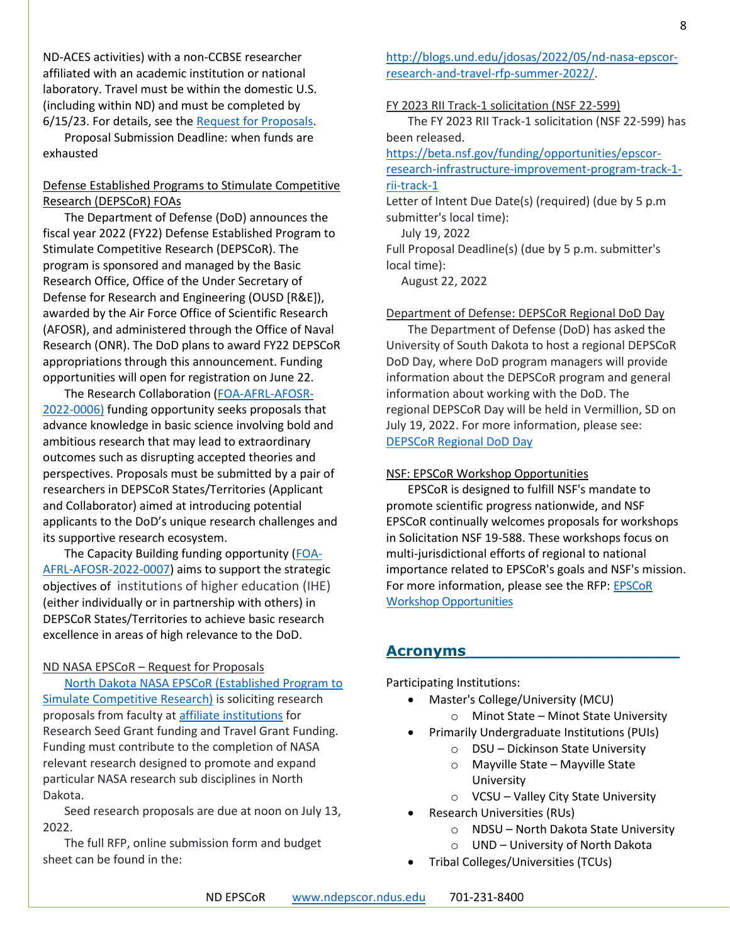ND-ACES activities) with a non-CCBSE researcher affiliated with an academic institution or national laboratory. Travel must be within the domestic U.S. (including within ND) and must be completed by 6/15/23. For details, see the [Request for Proposals.](https://www.ndepscor.ndus.edu/fileadmin/ndus/ndepscor/TravelAwards/EPSCoRTravelAwardsRFP_June_2022.pdf)

Proposal Submission Deadline: when funds are exhausted

#### Defense Established Programs to Stimulate Competitive Research (DEPSCoR) FOAs

The Department of Defense (DoD) announces the fiscal year 2022 (FY22) Defense Established Program to Stimulate Competitive Research (DEPSCoR). The program is sponsored and managed by the Basic Research Office, Office of the Under Secretary of Defense for Research and Engineering (OUSD [R&E]), awarded by the Air Force Office of Scientific Research (AFOSR), and administered through the Office of Naval Research (ONR). The DoD plans to award FY22 DEPSCoR appropriations through this announcement. Funding opportunities will open for registration on June 22.

The Research Collaboration [\(FOA-AFRL-AFOSR-](https://epscorideafoundation.us1.list-manage.com/track/click?u=54d669391232b23bf15d1a89f&id=aa13b94d7b&e=e5e9efddb6)[2022-0006\)](https://epscorideafoundation.us1.list-manage.com/track/click?u=54d669391232b23bf15d1a89f&id=aa13b94d7b&e=e5e9efddb6) funding opportunity seeks proposals that advance knowledge in basic science involving bold and ambitious research that may lead to extraordinary outcomes such as disrupting accepted theories and perspectives. Proposals must be submitted by a pair of researchers in DEPSCoR States/Territories (Applicant and Collaborator) aimed at introducing potential applicants to the DoD's unique research challenges and its supportive research ecosystem.

The Capacity Building funding opportunity [\(FOA-](https://epscorideafoundation.us1.list-manage.com/track/click?u=54d669391232b23bf15d1a89f&id=63ed611752&e=e5e9efddb6)[AFRL-AFOSR-2022-0007\)](https://epscorideafoundation.us1.list-manage.com/track/click?u=54d669391232b23bf15d1a89f&id=63ed611752&e=e5e9efddb6) aims to support the strategic objectives of institutions of higher education (IHE) (either individually or in partnership with others) in DEPSCoR States/Territories to achieve basic research excellence in areas of high relevance to the DoD.

#### ND NASA EPSCoR – Request for Proposals

[North Dakota NASA EPSCoR \(Established Program to](https://ndnasaepscor.und.edu/)  [Simulate Competitive Research\)](https://ndnasaepscor.und.edu/) is soliciting research proposals from faculty at [affiliate institutions](https://ndnasaepscor.und.edu/about/affiliate-members.html) for Research Seed Grant funding and Travel Grant Funding. Funding must contribute to the completion of NASA relevant research designed to promote and expand particular NASA research sub disciplines in North Dakota.

Seed research proposals are due at noon on July 13, 2022.

The full RFP, online submission form and budget sheet can be found in the:

[http://blogs.und.edu/jdosas/2022/05/nd-nasa-epscor](http://blogs.und.edu/jdosas/2022/05/nd-nasa-epscor-research-and-travel-rfp-summer-2022/)[research-and-travel-rfp-summer-2022/.](http://blogs.und.edu/jdosas/2022/05/nd-nasa-epscor-research-and-travel-rfp-summer-2022/)

#### FY 2023 RII Track-1 solicitation (NSF 22-599)

The FY 2023 RII Track-1 solicitation (NSF 22-599) has been released.

[https://beta.nsf.gov/funding/opportunities/epscor](https://beta.nsf.gov/funding/opportunities/epscor-research-infrastructure-improvement-program-track-1-rii-track-1)[research-infrastructure-improvement-program-track-1](https://beta.nsf.gov/funding/opportunities/epscor-research-infrastructure-improvement-program-track-1-rii-track-1) [rii-track-1](https://beta.nsf.gov/funding/opportunities/epscor-research-infrastructure-improvement-program-track-1-rii-track-1)

Letter of Intent Due Date(s) (required) (due by 5 p.m submitter's local time):

July 19, 2022

Full Proposal Deadline(s) (due by 5 p.m. submitter's local time):

August 22, 2022

#### Department of Defense: DEPSCoR Regional DoD Day

The Department of Defense (DoD) has asked the University of South Dakota to host a regional DEPSCoR DoD Day, where DoD program managers will provide information about the DEPSCoR program and general information about working with the DoD. The regional DEPSCoR Day will be held in Vermillion, SD on July 19, 2022. For more information, please see: [DEPSCoR Regional DoD Day](https://www.usd.edu/About/Departments-Offices-and-Resources/Office-of-Research-and-Sponsored-Programs/DEPSCoR-DoD-Day)

#### NSF: EPSCoR Workshop Opportunities

EPSCoR is designed to fulfill NSF's mandate to promote scientific progress nationwide, and NSF EPSCoR continually welcomes proposals for workshops in Solicitation NSF 19-588. These workshops focus on multi-jurisdictional efforts of regional to national importance related to EPSCoR's goals and NSF's mission. For more information, please see the RFP[: EPSCoR](https://www.nsf.gov/pubs/2019/nsf19588/nsf19588.pdf)  [Workshop Opportunities](https://www.nsf.gov/pubs/2019/nsf19588/nsf19588.pdf)

#### **Acronyms\_\_\_\_\_\_\_\_\_\_\_\_\_\_\_\_\_\_\_\_\_**

Participating Institutions:

- Master's College/University (MCU)
	- o Minot State Minot State University
- Primarily Undergraduate Institutions (PUIs)
	- o DSU Dickinson State University
	- o Mayville State Mayville State University
	- o VCSU Valley City State University
- Research Universities (RUs)
	- o NDSU North Dakota State University
	- o UND University of North Dakota
- Tribal Colleges/Universities (TCUs)